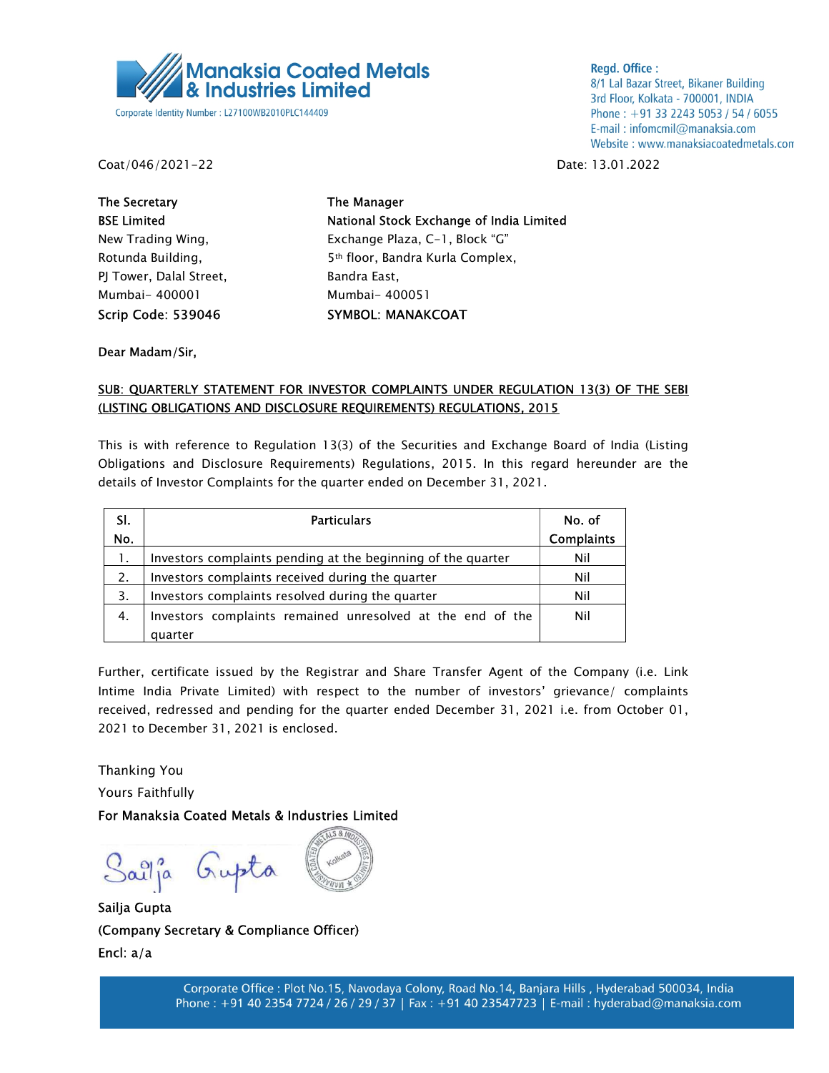

**Regd. Office:** 8/1 Lal Bazar Street, Bikaner Building 3rd Floor, Kolkata - 700001, INDIA Phone: +91 33 2243 5053 / 54 / 6055 E-mail: infomcmil@manaksia.com Website: www.manaksiacoatedmetals.com

Coat/046/2021-22 Date: 13.01.2022

The Secretary The Manager PJ Tower, Dalal Street, Bandra East, Mumbai- 400001 Mumbai- 400051 Scrip Code: 539046 SYMBOL: MANAKCOAT

BSE Limited National Stock Exchange of India Limited New Trading Wing, The Exchange Plaza, C-1, Block "G" Rotunda Building, The Sth floor, Bandra Kurla Complex,

Dear Madam/Sir,

## SUB: QUARTERLY STATEMENT FOR INVESTOR COMPLAINTS UNDER REGULATION 13(3) OF THE SEBI (LISTING OBLIGATIONS AND DISCLOSURE REQUIREMENTS) REGULATIONS, 2015

This is with reference to Regulation 13(3) of the Securities and Exchange Board of India (Listing Obligations and Disclosure Requirements) Regulations, 2015. In this regard hereunder are the details of Investor Complaints for the quarter ended on December 31, 2021.

| SI. | <b>Particulars</b>                                           | No. of            |
|-----|--------------------------------------------------------------|-------------------|
| No. |                                                              | <b>Complaints</b> |
| 1.  | Investors complaints pending at the beginning of the quarter | Nil               |
| 2.  | Investors complaints received during the quarter             | Nil               |
| 3.  | Investors complaints resolved during the quarter             | Nil               |
| 4.  | Investors complaints remained unresolved at the end of the   | Nil               |
|     | quarter                                                      |                   |

Further, certificate issued by the Registrar and Share Transfer Agent of the Company (i.e. Link Intime India Private Limited) with respect to the number of investors' grievance/ complaints received, redressed and pending for the quarter ended December 31, 2021 i.e. from October 01, 2021 to December 31, 2021 is enclosed.

Thanking You

Yours Faithfully

For Manaksia Coated Metals & Industries Limited

Sailja Gupta

Sailja Gupta (Company Secretary & Compliance Officer) Encl: a/a